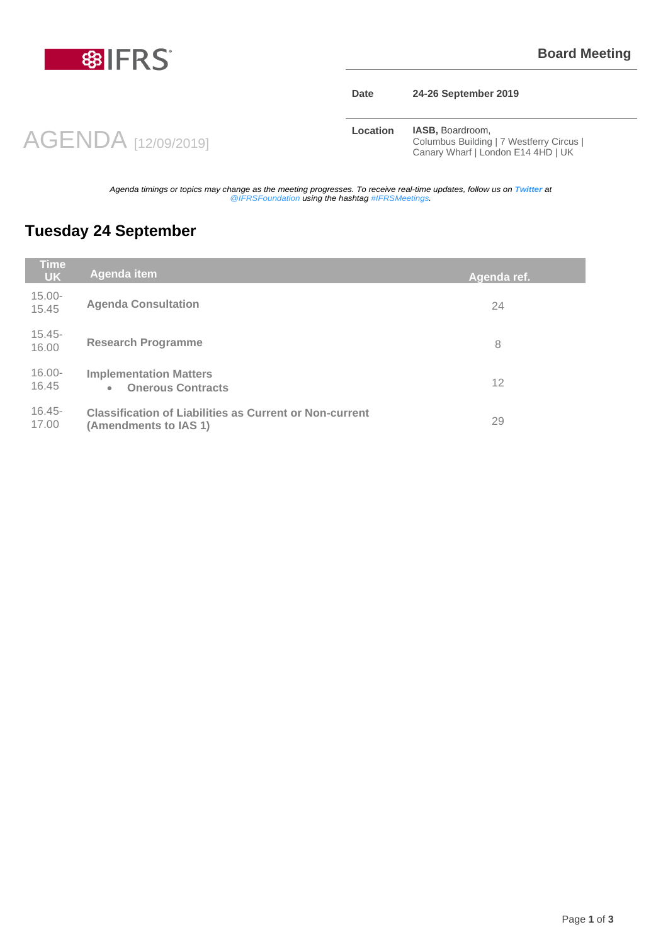

#### **Date 24-26 September 2019**

AGENDA [12/09/2019]

**Location <b>IASB**, Boardroom, Columbus Building | 7 Westferry Circus | Canary Wharf | London E14 4HD | UK

*Agenda timings or topics may change as the meeting progresses. To receive real-time updates, follow us on Twitter at @IFRSFoundation using the hashtag #IFRSMeetings.*

### **Tuesday 24 September**

| <b>Time</b><br><b>UK</b> | Agenda item                                                                             | Agenda ref. |
|--------------------------|-----------------------------------------------------------------------------------------|-------------|
| $15.00 -$<br>15.45       | <b>Agenda Consultation</b>                                                              | 24          |
| $15.45 -$<br>16.00       | <b>Research Programme</b>                                                               | 8           |
| $16.00 -$<br>16.45       | <b>Implementation Matters</b><br><b>Onerous Contracts</b><br>$\bullet$                  | 12          |
| $16.45 -$<br>17.00       | <b>Classification of Liabilities as Current or Non-current</b><br>(Amendments to IAS 1) | 29          |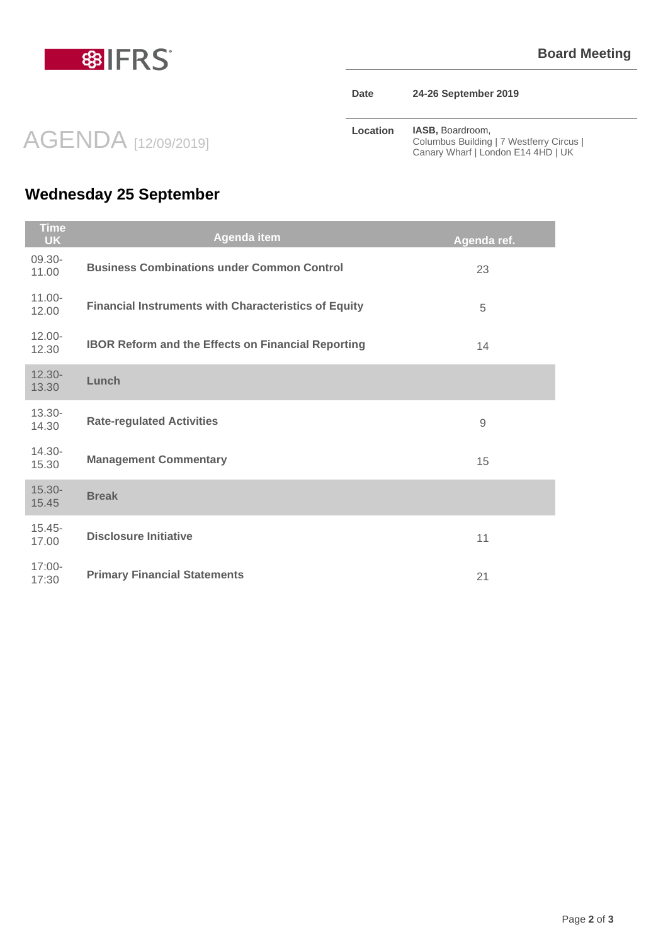

| Date |  | 24-26 September 2019 |  |
|------|--|----------------------|--|
|------|--|----------------------|--|

**Location IASB, Boardroom,** Columbus Building | 7 Westferry Circus | Canary Wharf | London E14 4HD | UK

# **Wednesday 25 September**

AGENDA [12/09/2019]

| Time<br><b>UK</b>  | Agenda item                                                 | Agenda ref. |
|--------------------|-------------------------------------------------------------|-------------|
| 09.30-<br>11.00    | <b>Business Combinations under Common Control</b>           | 23          |
| $11.00 -$<br>12.00 | <b>Financial Instruments with Characteristics of Equity</b> | 5           |
| $12.00 -$<br>12.30 | <b>IBOR Reform and the Effects on Financial Reporting</b>   | 14          |
| $12.30 -$<br>13.30 | Lunch                                                       |             |
| $13.30 -$<br>14.30 | <b>Rate-regulated Activities</b>                            | 9           |
| $14.30 -$<br>15.30 | <b>Management Commentary</b>                                | 15          |
| $15.30 -$<br>15.45 | <b>Break</b>                                                |             |
| $15.45 -$<br>17.00 | <b>Disclosure Initiative</b>                                | 11          |
| $17:00 -$<br>17:30 | <b>Primary Financial Statements</b>                         | 21          |